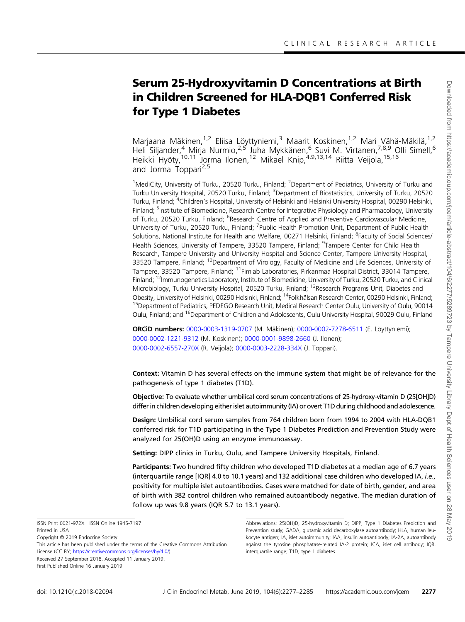# Serum 25-Hydroxyvitamin D Concentrations at Birth in Children Screened for HLA-DQB1 Conferred Risk for Type 1 Diabetes

[Marjaana Mäkinen](http://orcid.org/0000-0003-1319-0707),<sup>1,2</sup> [Eliisa Löyttyniemi](http://orcid.org/0000-0002-7278-6511),<sup>3</sup> [Maarit Koskinen,](http://orcid.org/0000-0002-1221-9312)<sup>1,2</sup> Mari Vähä-Mäkilä,<sup>1,2</sup> Heli Siljander,<sup>4</sup> Mirja Nurmio,<sup>2,5</sup> Juha Mykkänen,<sup>6</sup> Suvi M. Virtanen,<sup>7,8,9</sup> Olli Simell,<sup>6</sup> Heikki Hyöty,<sup>10,11</sup> [Jorma Ilonen,](http://orcid.org/0000-0001-9898-2660)<sup>12</sup> Mikael Knip,<sup>4,9,13,14</sup> [Riitta Veijola,](http://orcid.org/0000-0002-6557-270X)<sup>15,16</sup> and [Jorma Toppari](http://orcid.org/0000-0003-2228-334X)<sup>2,5</sup>

<sup>1</sup>MediCity, University of Turku, 20520 Turku, Finland; <sup>2</sup>Department of Pediatrics, University of Turku and Turku University Hospital, 20520 Turku, Finland; <sup>3</sup>Department of Biostatistics, University of Turku, 20520 Turku, Finland; <sup>4</sup>Children's Hospital, University of Helsinki and Helsinki University Hospital, 00290 Helsinki, Finland; <sup>5</sup>Institute of Biomedicine, Research Centre for Integrative Physiology and Pharmacology, University of Turku, 20520 Turku, Finland; <sup>6</sup>Research Centre of Applied and Preventive Cardiovascular Medicine, University of Turku, 20520 Turku, Finland; <sup>7</sup>Public Health Promotion Unit, Department of Public Health Solutions, National Institute for Health and Welfare, 00271 Helsinki, Finland; <sup>8</sup>Faculty of Social Sciences/ Health Sciences, University of Tampere, 33520 Tampere, Finland; <sup>9</sup>Tampere Center for Child Health Research, Tampere University and University Hospital and Science Center, Tampere University Hospital, 33520 Tampere, Finland; <sup>10</sup>Department of Virology, Faculty of Medicine and Life Sciences, University of Tampere, 33520 Tampere, Finland; <sup>11</sup>Fimlab Laboratories, Pirkanmaa Hospital District, 33014 Tampere, Finland; 12Immunogenetics Laboratory, Institute of Biomedicine, University of Turku, 20520 Turku, and Clinical Microbiology, Turku University Hospital, 20520 Turku, Finland; <sup>13</sup>Research Programs Unit, Diabetes and Obesity, University of Helsinki, 00290 Helsinki, Finland; <sup>14</sup>Folkhälsan Research Center, 00290 Helsinki, Finland; <sup>15</sup>Department of Pediatrics, PEDEGO Research Unit, Medical Research Center Oulu, University of Oulu, 90014 Oulu, Finland; and <sup>16</sup>Department of Children and Adolescents, Oulu University Hospital, 90029 Oulu, Finland

ORCID numbers: [0000-0003-1319-0707](http://orcid.org/0000-0003-1319-0707) (M. Mäkinen); [0000-0002-7278-6511](http://orcid.org/0000-0002-7278-6511) (E. Löyttyniemi); [0000-0002-1221-9312](http://orcid.org/0000-0002-1221-9312) (M. Koskinen); [0000-0001-9898-2660](http://orcid.org/0000-0001-9898-2660) (J. Ilonen); [0000-0002-6557-270X](http://orcid.org/0000-0002-6557-270X) (R. Veijola); [0000-0003-2228-334X](http://orcid.org/0000-0003-2228-334X) (J. Toppari).

Context: Vitamin D has several effects on the immune system that might be of relevance for the pathogenesis of type 1 diabetes (T1D).

Objective: To evaluate whether umbilical cord serum concentrations of 25-hydroxy-vitamin D (25[OH]D) differ in children developing either islet autoimmunity (IA) or overt T1D during childhood and adolescence.

Design: Umbilical cord serum samples from 764 children born from 1994 to 2004 with HLA-DQB1 conferred risk for T1D participating in the Type 1 Diabetes Prediction and Prevention Study were analyzed for 25(OH)D using an enzyme immunoassay.

Setting: DIPP clinics in Turku, Oulu, and Tampere University Hospitals, Finland.

Participants: Two hundred fifty children who developed T1D diabetes at a median age of 6.7 years (interquartile range [IQR] 4.0 to 10.1 years) and 132 additional case children who developed IA, i.e., positivity for multiple islet autoantibodies. Cases were matched for date of birth, gender, and area of birth with 382 control children who remained autoantibody negative. The median duration of follow up was 9.8 years (IQR 5.7 to 13.1 years).

Abbreviations: 25(OH)D, 25-hydroxyvitamin D; DIPP, Type 1 Diabetes Prediction and Prevention study; GADA, glutamic acid decarboxylase autoantibody; HLA, human leukocyte antigen; IA, islet autoimmunity; IAA, insulin autoantibody; IA-2A, autoantibody against the tyrosine phosphatase-related IA-2 protein; ICA, islet cell antibody; IQR, interquartile range; T1D, type 1 diabetes.

ISSN Print 0021-972X ISSN Online 1945-7197 Printed in USA

Copyright © 2019 Endocrine Society

This article has been published under the terms of the Creative Commons Attribution License (CC BY; [https://creativecommons.org/licenses/by/4.0/\)](https://creativecommons.org/licenses/by/4.0/). Received 27 September 2018. Accepted 11 January 2019. First Published Online 16 January 2019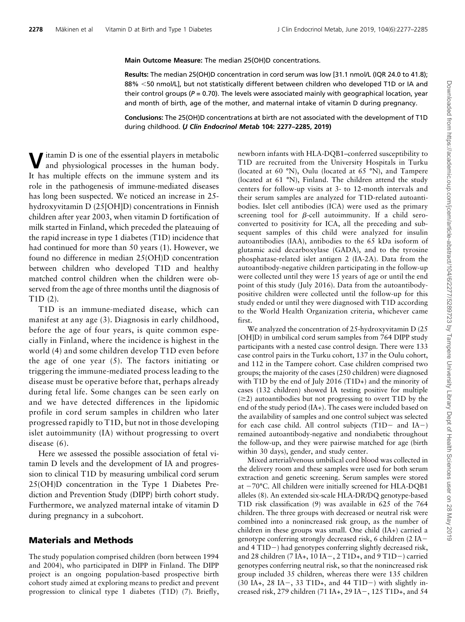#### Main Outcome Measure: The median 25(OH)D concentrations.

Results: The median 25(OH)D concentration in cord serum was low [31.1 nmol/L (IQR 24.0 to 41.8); 88% <50 nmol/L], but not statistically different between children who developed T1D or IA and their control groups ( $P = 0.70$ ). The levels were associated mainly with geographical location, year and month of birth, age of the mother, and maternal intake of vitamin D during pregnancy.

Conclusions: The 25(OH)D concentrations at birth are not associated with the development of T1D during childhood. (J Clin Endocrinol Metab 104: 2277–2285, 2019)

itamin  $D$  is one of the essential players in metabolic and physiological processes in the human body. It has multiple effects on the immune system and its role in the pathogenesis of immune-mediated diseases has long been suspected. We noticed an increase in 25 hydroxyvitamin D (25[OH]D) concentrations in Finnish children after year 2003, when vitamin D fortification of milk started in Finland, which preceded the plateauing of the rapid increase in type 1 diabetes (T1D) incidence that had continued for more than 50 years [\(1\)](#page-6-0). However, we found no difference in median 25(OH)D concentration between children who developed T1D and healthy matched control children when the children were observed from the age of three months until the diagnosis of T1D ([2](#page-7-0)).

T1D is an immune-mediated disease, which can manifest at any age [\(3](#page-7-0)). Diagnosis in early childhood, before the age of four years, is quite common especially in Finland, where the incidence is highest in the world ([4\)](#page-7-0) and some children develop T1D even before the age of one year ([5\)](#page-7-0). The factors initiating or triggering the immune-mediated process leading to the disease must be operative before that, perhaps already during fetal life. Some changes can be seen early on and we have detected differences in the lipidomic profile in cord serum samples in children who later progressed rapidly to T1D, but not in those developing islet autoimmunity (IA) without progressing to overt disease [\(6](#page-7-0)).

Here we assessed the possible association of fetal vitamin D levels and the development of IA and progression to clinical T1D by measuring umbilical cord serum 25(OH)D concentration in the Type 1 Diabetes Prediction and Prevention Study (DIPP) birth cohort study. Furthermore, we analyzed maternal intake of vitamin D during pregnancy in a subcohort.

#### Materials and Methods

The study population comprised children (born between 1994 and 2004), who participated in DIPP in Finland. The DIPP project is an ongoing population-based prospective birth cohort study aimed at exploring means to predict and prevent progression to clinical type 1 diabetes (T1D) ([7\)](#page-7-0). Briefly, newborn infants with HLA-DQB1–conferred susceptibility to T1D are recruited from the University Hospitals in Turku (located at 60 °N), Oulu (located at 65 °N), and Tampere (located at 61 °N), Finland. The children attend the study centers for follow-up visits at 3- to 12-month intervals and their serum samples are analyzed for T1D-related autoantibodies. Islet cell antibodies (ICA) were used as the primary screening tool for  $\beta$ -cell autoimmunity. If a child seroconverted to positivity for ICA, all the preceding and subsequent samples of this child were analyzed for insulin autoantibodies (IAA), antibodies to the 65 kDa isoform of glutamic acid decarboxylase (GADA), and to the tyrosine phosphatase-related islet antigen 2 (IA-2A). Data from the autoantibody-negative children participating in the follow-up were collected until they were 15 years of age or until the end point of this study (July 2016). Data from the autoantibodypositive children were collected until the follow-up for this study ended or until they were diagnosed with T1D according to the World Health Organization criteria, whichever came first.

We analyzed the concentration of 25-hydroxyvitamin D (25 [OH]D) in umbilical cord serum samples from 764 DIPP study participants with a nested case control design. There were 133 case control pairs in the Turku cohort, 137 in the Oulu cohort, and 112 in the Tampere cohort. Case children comprised two groups; the majority of the cases (250 children) were diagnosed with T1D by the end of July 2016 (T1D+) and the minority of cases (132 children) showed IA testing positive for multiple  $(\geq 2)$  autoantibodies but not progressing to overt T1D by the end of the study period (IA+). The cases were included based on the availability of samples and one control subject was selected for each case child. All control subjects  $(T1D - and IA -)$ remained autoantibody-negative and nondiabetic throughout the follow-up, and they were pairwise matched for age (birth within 30 days), gender, and study center.

Mixed arterial/venous umbilical cord blood was collected in the delivery room and these samples were used for both serum extraction and genetic screening. Serum samples were stored at  $-70^{\circ}$ C. All children were initially screened for HLA-DQB1 alleles ([8\)](#page-7-0). An extended six-scale HLA-DR/DQ genotype-based T1D risk classification ([9\)](#page-7-0) was available in 625 of the 764 children. The three groups with decreased or neutral risk were combined into a nonincreased risk group, as the number of children in these groups was small. One child (IA+) carried a genotype conferring strongly decreased risk, 6 children  $(2 I A$ and  $4 \text{ T1D}-$ ) had genotypes conferring slightly decreased risk, and 28 children (7 IA+, 10 IA – , 2 T1D+, and 9 T1D –) carried genotypes conferring neutral risk, so that the nonincreased risk group included 35 children, whereas there were 135 children (30 IA+, 28 IA $-$ , 33 T1D+, and 44 T1D $-$ ) with slightly increased risk, 279 children (71 IA+, 29 IA-, 125 T1D+, and 54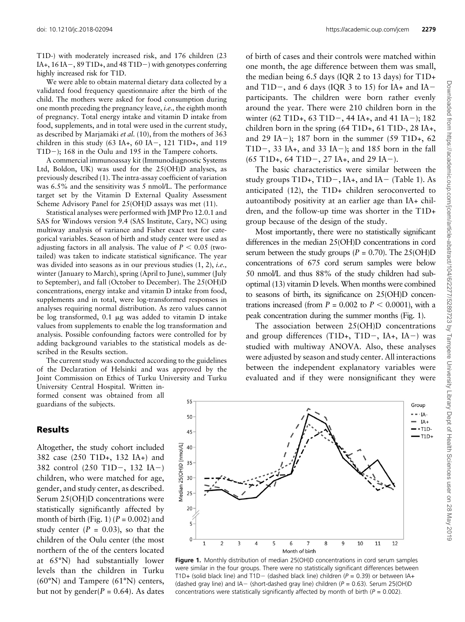doi: [10.1210/jc.2018-02094](http://dx.doi.org/10.1210/jc.2018-02094) <https://academic.oup.com/jcem> 2279

T1D-) with moderately increased risk, and 176 children (23 IA+,  $16$  IA  $-$ ,  $89$  T1D+, and  $48$  T1D $-$ ) with genotypes conferring highly increased risk for T1D.

We were able to obtain maternal dietary data collected by a validated food frequency questionnaire after the birth of the child. The mothers were asked for food consumption during one month preceding the pregnancy leave, i.e., the eighth month of pregnancy. Total energy intake and vitamin D intake from food, supplements, and in total were used in the current study, as described by Marjamäki et al.  $(10)$ , from the mothers of 363 children in this study  $(63$  IA+,  $60$  IA-,  $121$  T1D+, and  $119$ T1D $-$ ); 168 in the Oulu and 195 in the Tampere cohorts.

A commercial immunoassay kit (Immunodiagnostic Systems Ltd, Boldon, UK) was used for the 25(OH)D analyses, as previously described [\(1](#page-6-0)). The intra-assay coefficient of variation was 6.5% and the sensitivity was 5 nmol/L. The performance target set by the Vitamin D External Quality Assessment Scheme Advisory Panel for 25(OH)D assays was met ([11\)](#page-7-0).

Statistical analyses were performed with JMP Pro 12.0.1 and SAS for Windows version 9.4 (SAS Institute, Cary, NC) using multiway analysis of variance and Fisher exact test for categorical variables. Season of birth and study center were used as adjusting factors in all analysis. The value of  $P < 0.05$  (twotailed) was taken to indicate statistical significance. The year was divided into seasons as in our previous studies  $(1, 2)$  $(1, 2)$  $(1, 2)$ , *i.e.*, winter (January to March), spring (April to June), summer (July to September), and fall (October to December). The 25(OH)D concentrations, energy intake and vitamin D intake from food, supplements and in total, were log-transformed responses in analyses requiring normal distribution. As zero values cannot be log transformed,  $0.1 \mu$ g was added to vitamin D intake values from supplements to enable the log transformation and analysis. Possible confounding factors were controlled for by adding background variables to the statistical models as described in the Results section.

The current study was conducted according to the guidelines of the Declaration of Helsinki and was approved by the Joint Commission on Ethics of Turku University and Turku University Central Hospital. Written in-

formed consent was obtained from all guardians of the subjects.

#### Results

Altogether, the study cohort included 382 case (250 T1D+, 132 IA+) and 382 control  $(250 \text{ T1D} -, 132 \text{ IA} -)$ children, who were matched for age, gender, and study center, as described. Serum 25(OH)D concentrations were statistically significantly affected by month of birth (Fig. 1) ( $P = 0.002$ ) and study center  $(P = 0.03)$ , so that the children of the Oulu center (the most northern of the of the centers located at 65°N) had substantially lower levels than the children in Turku (60°N) and Tampere (61°N) centers, but not by gender( $P = 0.64$ ). As dates

of birth of cases and their controls were matched within one month, the age difference between them was small, the median being 6.5 days (IQR 2 to 13 days) for T1D+ and T1D-, and 6 days (IQR 3 to 15) for IA+ and IAparticipants. The children were born rather evenly around the year. There were 210 children born in the winter (62 T1D+, 63 T1D-, 44 IA+, and 41 IA-); 182 children born in the spring  $(64 \text{ T1D+}, 61 \text{ T1D-}, 28 \text{ IA+},$ and 29 IA-); 187 born in the summer (59 T1D+, 62 T1D $-$ , 33 IA+, and 33 IA $-$ ); and 185 born in the fall  $(65 \text{ T1D+}, 64 \text{ T1D-}, 27 \text{ IA+}, \text{ and } 29 \text{ IA-}).$ 

The basic characteristics were similar between the study groups  $T1D+$ ,  $T1D-$ , IA+, and IA $-$  [\(Table 1\)](#page-3-0). As anticipated ([12\)](#page-7-0), the T1D+ children seroconverted to autoantibody positivity at an earlier age than IA+ children, and the follow-up time was shorter in the T1D+ group because of the design of the study.

Most importantly, there were no statistically significant differences in the median 25(OH)D concentrations in cord serum between the study groups ( $P = 0.70$ ). The 25(OH)D concentrations of 675 cord serum samples were below 50 nmol/L and thus 88% of the study children had suboptimal [\(13\)](#page-7-0) vitamin D levels. When months were combined to seasons of birth, its significance on 25(OH)D concentrations increased (from  $P = 0.002$  to  $P < 0.0001$ ), with a peak concentration during the summer months (Fig. 1).

The association between 25(OH)D concentrations and group differences  $(T1D+, T1D-, IA+, IA-)$  was studied with multiway ANOVA. Also, these analyses were adjusted by season and study center. All interactions between the independent explanatory variables were evaluated and if they were nonsignificant they were



Figure 1. Monthly distribution of median 25(OH)D concentrations in cord serum samples were similar in the four groups. There were no statistically significant differences between T1D+ (solid black line) and T1D- (dashed black line) children ( $P = 0.39$ ) or between IA+ (dashed gray line) and  $IA-$  (short-dashed gray line) children ( $P = 0.63$ ). Serum 25(OH)D concentrations were statistically significantly affected by month of birth ( $P = 0.002$ ).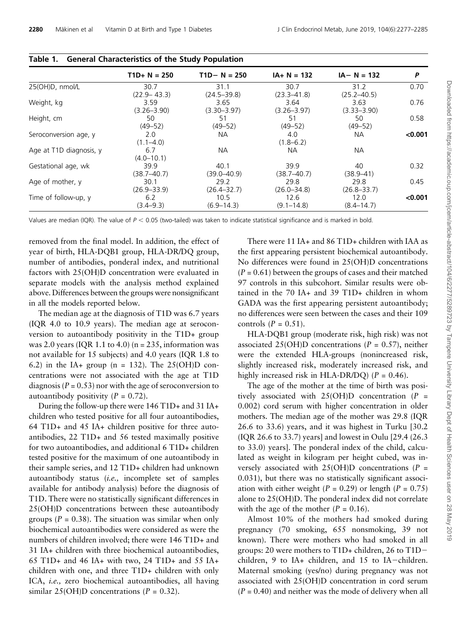|                         | $TD + N = 250$          | $TD - N = 250$          | $IA+ N = 132$           | $IA - N = 132$          | P       |  |
|-------------------------|-------------------------|-------------------------|-------------------------|-------------------------|---------|--|
| 25(OH)D, nmol/L         | 30.7<br>$(22.9 - 43.3)$ | 31.1<br>$(24.5 - 39.8)$ | 30.7<br>$(23.3 - 41.8)$ | 31.2<br>$(25.2 - 40.5)$ | 0.70    |  |
| Weight, kg              | 3.59<br>$(3.26 - 3.90)$ | 3.65<br>$(3.30 - 3.97)$ | 3.64<br>$(3.26 - 3.97)$ | 3.63<br>$(3.33 - 3.90)$ | 0.76    |  |
| Height, cm              | 50<br>$(49 - 52)$       | 51<br>$(49 - 52)$       | 51<br>$(49 - 52)$       | 50<br>$(49 - 52)$       | 0.58    |  |
| Seroconversion age, y   | 2.0<br>$(1.1 - 4.0)$    | <b>NA</b>               | 4.0<br>$(1.8 - 6.2)$    | NA.                     | < 0.001 |  |
| Age at T1D diagnosis, y | 6.7<br>$(4.0 - 10.1)$   | <b>NA</b>               | NА                      | <b>NA</b>               |         |  |
| Gestational age, wk     | 39.9<br>$(38.7 - 40.7)$ | 40.1<br>$(39.0 - 40.9)$ | 39.9<br>$(38.7 - 40.7)$ | 40<br>$(38.9 - 41)$     | 0.32    |  |
| Age of mother, y        | 30.1<br>$(26.9 - 33.9)$ | 29.2<br>$(26.4 - 32.7)$ | 29.8<br>$(26.0 - 34.8)$ | 29.8<br>$(26.8 - 33.7)$ | 0.45    |  |
| Time of follow-up, y    | 6.2<br>$(3.4 - 9.3)$    | 10.5<br>$(6.9 - 14.3)$  | 12.6<br>$(9.1 - 14.8)$  | 12.0<br>$(8.4 - 14.7)$  | < 0.001 |  |

<span id="page-3-0"></span>

|  | Table 1. General Characteristics of the Study Population |  |  |
|--|----------------------------------------------------------|--|--|
|--|----------------------------------------------------------|--|--|

Values are median (IQR). The value of  $P < 0.05$  (two-tailed) was taken to indicate statistical significance and is marked in bold.

removed from the final model. In addition, the effect of year of birth, HLA-DQB1 group, HLA-DR/DQ group, number of antibodies, ponderal index, and nutritional factors with 25(OH)D concentration were evaluated in separate models with the analysis method explained above. Differences between the groups were nonsignificant in all the models reported below.

The median age at the diagnosis of T1D was 6.7 years (IQR 4.0 to 10.9 years). The median age at seroconversion to autoantibody positivity in the T1D+ group was 2.0 years (IQR 1.1 to 4.0) ( $n = 235$ , information was not available for 15 subjects) and 4.0 years (IQR 1.8 to 6.2) in the IA+ group (n = 132). The  $25(OH)D$  concentrations were not associated with the age at T1D diagnosis ( $P = 0.53$ ) nor with the age of seroconversion to autoantibody positivity  $(P = 0.72)$ .

During the follow-up there were 146 T1D+ and 31 IA+ children who tested positive for all four autoantibodies, 64 T1D+ and 45 IA+ children positive for three autoantibodies, 22 T1D+ and 56 tested maximally positive for two autoantibodies, and additional 6 T1D+ children tested positive for the maximum of one autoantibody in their sample series, and 12 T1D+ children had unknown autoantibody status (i.e., incomplete set of samples available for antibody analysis) before the diagnosis of T1D. There were no statistically significant differences in 25(OH)D concentrations between these autoantibody groups ( $P = 0.38$ ). The situation was similar when only biochemical autoantibodies were considered as were the numbers of children involved; there were 146 T1D+ and 31 IA+ children with three biochemical autoantibodies, 65 T1D+ and 46 IA+ with two, 24 T1D+ and 55 IA+ children with one, and three T1D+ children with only ICA, i.e., zero biochemical autoantibodies, all having similar 25(OH)D concentrations ( $P = 0.32$ ).

There were 11 IA+ and 86 T1D+ children with IAA as the first appearing persistent biochemical autoantibody. No differences were found in 25(OH)D concentrations  $(P = 0.61)$  between the groups of cases and their matched 97 controls in this subcohort. Similar results were obtained in the 70 IA+ and 39 T1D+ children in whom GADA was the first appearing persistent autoantibody; no differences were seen between the cases and their 109 controls  $(P = 0.51)$ .

HLA-DQB1 group (moderate risk, high risk) was not associated 25(OH)D concentrations ( $P = 0.57$ ), neither were the extended HLA-groups (nonincreased risk, slightly increased risk, moderately increased risk, and highly increased risk in HLA-DR/DQ) ( $P = 0.46$ ).

The age of the mother at the time of birth was positively associated with  $25(OH)D$  concentration (P = 0.002) cord serum with higher concentration in older mothers. The median age of the mother was 29.8 (IQR 26.6 to 33.6) years, and it was highest in Turku [30.2 (IQR 26.6 to 33.7) years] and lowest in Oulu [29.4 (26.3 to 33.0) years]. The ponderal index of the child, calculated as weight in kilogram per height cubed, was inversely associated with  $25(OH)D$  concentrations (P = 0.031), but there was no statistically significant association with either weight ( $P = 0.29$ ) or length ( $P = 0.75$ ) alone to 25(OH)D. The ponderal index did not correlate with the age of the mother  $(P = 0.16)$ .

Almost 10% of the mothers had smoked during pregnancy (70 smoking, 655 nonsmoking, 39 not known). There were mothers who had smoked in all groups: 20 were mothers to T1D+ children, 26 to T1D2 children,  $9$  to IA+ children, and 15 to IA-children. Maternal smoking (yes/no) during pregnancy was not associated with 25(OH)D concentration in cord serum  $(P = 0.40)$  and neither was the mode of delivery when all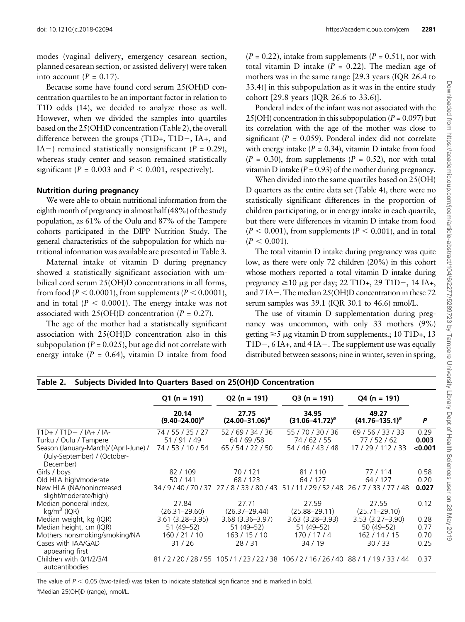<span id="page-4-0"></span>modes (vaginal delivery, emergency cesarean section, planned cesarean section, or assisted delivery) were taken into account  $(P = 0.17)$ .

Because some have found cord serum 25(OH)D concentration quartiles to be an important factor in relation to T1D odds [\(14\)](#page-7-0), we decided to analyze those as well. However, when we divided the samples into quartiles based on the 25(OH)D concentration (Table 2), the overall difference between the groups  $(T1D+, T1D-, IA+, and$ IA-) remained statistically nonsignificant ( $P = 0.29$ ), whereas study center and season remained statistically significant ( $P = 0.003$  and  $P < 0.001$ , respectively).

### Nutrition during pregnancy

We were able to obtain nutritional information from the eighth month of pregnancy in almost half (48%) of the study population, as 61% of the Oulu and 87% of the Tampere cohorts participated in the DIPP Nutrition Study. The general characteristics of the subpopulation for which nutritional information was available are presented in [Table 3.](#page-5-0)

Maternal intake of vitamin D during pregnancy showed a statistically significant association with umbilical cord serum 25(OH)D concentrations in all forms, from food ( $P < 0.0001$ ), from supplements ( $P < 0.0001$ ), and in total ( $P < 0.0001$ ). The energy intake was not associated with  $25(OH)D$  concentration (P = 0.27).

The age of the mother had a statistically significant association with 25(OH)D concentration also in this subpopulation ( $P = 0.025$ ), but age did not correlate with energy intake  $(P = 0.64)$ , vitamin D intake from food

 $(P = 0.22)$ , intake from supplements  $(P = 0.51)$ , nor with total vitamin D intake ( $P = 0.22$ ). The median age of mothers was in the same range [29.3 years (IQR 26.4 to 33.4)] in this subpopulation as it was in the entire study cohort [29.8 years (IQR 26.6 to 33.6)].

Ponderal index of the infant was not associated with the  $25(OH)$  concentration in this subpopulation ( $P = 0.097$ ) but its correlation with the age of the mother was close to significant ( $P = 0.059$ ). Ponderal index did not correlate with energy intake  $(P = 0.34)$ , vitamin D intake from food  $(P = 0.30)$ , from supplements  $(P = 0.52)$ , nor with total vitamin D intake  $(P = 0.93)$  of the mother during pregnancy.

When divided into the same quartiles based on 25(OH) D quarters as the entire data set [\(Table 4](#page-5-0)), there were no statistically significant differences in the proportion of children participating, or in energy intake in each quartile, but there were differences in vitamin D intake from food  $(P < 0.001)$ , from supplements  $(P < 0.001)$ , and in total  $(P < 0.001)$ .

The total vitamin D intake during pregnancy was quite low, as there were only 72 children (20%) in this cohort whose mothers reported a total vitamin D intake during pregnancy  $\geq 10$  µg per day; 22 T1D+, 29 T1D-, 14 IA+, and  $7$  IA $-$ . The median 25(OH)D concentration in these 72 serum samples was 39.1 (IQR 30.1 to 46.6) nmol/L.

The use of vitamin D supplementation during pregnancy was uncommon, with only 33 mothers (9%) getting  $\geq 5$  µg vitamin D from supplements.; 10 T1D+, 13 T1D $-$ , 6 IA+, and 4 IA $-$ . The supplement use was equally distributed between seasons; nine in winter, seven in spring,

| Subjects Divided Into Quarters Based on 25(OH)D Concentration<br>Table 2.           |                                              |                                                           |                                               |                                                |         |  |
|-------------------------------------------------------------------------------------|----------------------------------------------|-----------------------------------------------------------|-----------------------------------------------|------------------------------------------------|---------|--|
|                                                                                     | $Q1(n = 191)$<br>20.14<br>$(9.40 - 24.00)^a$ | $Q2 (n = 191)$<br>27.75<br>$(24.00 - 31.06)^a$            | $Q3(n = 191)$<br>34.95<br>$(31.06 - 41.72)^a$ | $Q4 (n = 191)$<br>49.27<br>$(41.76 - 135.1)^a$ | P       |  |
|                                                                                     |                                              |                                                           |                                               |                                                |         |  |
| $T1D+ / T1D- / IA+ / IA-$                                                           | 74 / 55 / 35 / 27                            | 52 / 69 / 34 / 36                                         | 55 / 70 / 30 / 36                             | 69/56/33/33                                    | 0.29    |  |
| Turku / Oulu / Tampere                                                              | 51/91/49                                     | 64 / 69 / 58                                              | 74/62/55                                      | 77/52/62                                       | 0.003   |  |
| Season (January-March)/ (April-June) /<br>(July-September) / (October-<br>December) | 74 / 53 / 10 / 54                            | 65 / 54 / 22 / 50                                         | 54 / 46 / 43 / 48                             | 17/29/112/33                                   | < 0.001 |  |
| Girls / boys                                                                        | 82/109                                       | 70/121                                                    | 81/110                                        | 77/114                                         | 0.58    |  |
| Old HLA high/moderate                                                               | 50/141                                       | 68/123                                                    | 64 / 127                                      | 64 / 127                                       | 0.20    |  |
| New HLA (NA/nonincreased<br>slight/moderate/high)                                   | 34/9/40/70/37                                | 27/8/33/80/43                                             | 51/11/29/52/48                                | 26/7/33/77/48                                  | 0.027   |  |
| Median ponderal index,                                                              | 27.84                                        | 27.71                                                     | 27.59                                         | 27.55                                          | 0.12    |  |
| $kg/m3$ (IQR)                                                                       | $(26.31 - 29.60)$                            | $(26.37 - 29.44)$                                         | $(25.88 - 29.11)$                             | $(25.71 - 29.10)$                              |         |  |
| Median weight, kg (IQR)                                                             | $3.61(3.28 - 3.95)$                          | $3.68$ $(3.36 - 3.97)$                                    | $3.63(3.28 - 3.93)$                           | $3.53(3.27 - 3.90)$                            | 0.28    |  |
| Median height, cm (IQR)                                                             | 51 (49–52)                                   | $51(49-52)$                                               | 51 (49-52)                                    | 50 (49–52)                                     | 0.77    |  |
| Mothers nonsmoking/smoking/NA                                                       | 160 / 21 / 10                                | 163/15/10                                                 | 170/17/4                                      | 162 / 14 / 15                                  | 0.70    |  |
| Cases with IAA/GAD<br>appearing first                                               | 31/26                                        | 28/31                                                     | 34 / 19                                       | 30/33                                          | 0.25    |  |
| Children with 0/1/2/3/4<br>autoantibodies                                           |                                              | 81/2/20/28/55 105/1/23/22/38 106/2/16/26/40 88/1/19/33/44 |                                               |                                                | 0.37    |  |

The value of  $P < 0.05$  (two-tailed) was taken to indicate statistical significance and is marked in bold. <sup>a</sup>Median 25(OH)D (range), nmol/L.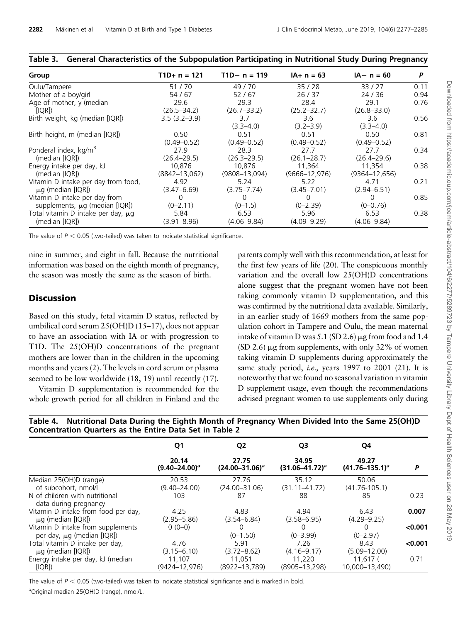| Group                                   | $T1D+ n = 121$    | $T1D - n = 119$   | $IA+ n = 63$       | $IA - n = 60$      | P    |
|-----------------------------------------|-------------------|-------------------|--------------------|--------------------|------|
| Oulu/Tampere                            | 51/70             | 49/70             | 35/28              | 33/27              | 0.11 |
| Mother of a boy/girl                    | 54 / 67           | 52/67             | 26/37              | 24/36              | 0.94 |
| Age of mother, y (median                | 29.6              | 29.3              | 28.4               | 29.1               | 0.76 |
| [IQR])                                  | $(26.5 - 34.2)$   | $(26.7 - 33.2)$   | $(25.2 - 32.7)$    | $(26.8 - 33.0)$    |      |
| Birth weight, kg (median [IQR])         | $3.5(3.2 - 3.9)$  | 3.7               | 3.6                | 3.6                | 0.56 |
|                                         |                   | $(3.3 - 4.0)$     | $(3.2 - 3.9)$      | $(3.3 - 4.0)$      |      |
| Birth height, m (median [IQR])          | 0.50              | 0.51              | 0.51               | 0.50               | 0.81 |
|                                         | $(0.49 - 0.52)$   | $(0.49 - 0.52)$   | $(0.49 - 0.52)$    | $(0.49 - 0.52)$    |      |
| Ponderal index, kg/m <sup>3</sup>       | 27.9              | 28.3              | 27.7               | 27.7               | 0.34 |
| (median [IQR])                          | $(26.4 - 29.5)$   | $(26.3 - 29.5)$   | $(26.1 - 28.7)$    | $(26.4 - 29.6)$    |      |
| Energy intake per day, kJ               | 10.876            | 10.876            | 11.364             | 11,354             | 0.38 |
| (median [IQR])                          | $(8842 - 13,062)$ | $(9808 - 13,094)$ | $(9666 - 12, 976)$ | $(9364 - 12, 656)$ |      |
| Vitamin D intake per day from food,     | 4.92              | 5.24              | 5.22               | 4.71               | 0.21 |
| $\mu$ g (median [IQR])                  | $(3.47 - 6.69)$   | $(3.75 - 7.74)$   | $(3.45 - 7.01)$    | $(2.94 - 6.51)$    |      |
| Vitamin D intake per day from           | $\Omega$          |                   | 0                  | $\Omega$           | 0.85 |
| supplements, $\mu$ g (median [IQR])     | $(0 - 2.11)$      | $(0-1.5)$         | $(0 - 2.39)$       | $(0 - 0.76)$       |      |
| Total vitamin D intake per day, $\mu$ g | 5.84              | 6.53              | 5.96               | 6.53               | 0.38 |
| (median [IQR])                          | $(3.91 - 8.96)$   | $(4.06 - 9.84)$   | $(4.09 - 9.29)$    | $(4.06 - 9.84)$    |      |

# <span id="page-5-0"></span>Table 3. General Characteristics of the Subpopulation Participating in Nutritional Study During Pregnancy

The value of  $P < 0.05$  (two-tailed) was taken to indicate statistical significance.

nine in summer, and eight in fall. Because the nutritional information was based on the eighth month of pregnancy, the season was mostly the same as the season of birth.

# **Discussion**

Based on this study, fetal vitamin D status, reflected by umbilical cord serum 25(OH)D ([15](#page-7-0)–[17\)](#page-7-0), does not appear to have an association with IA or with progression to T1D. The 25(OH)D concentrations of the pregnant mothers are lower than in the children in the upcoming months and years [\(2\)](#page-7-0). The levels in cord serum or plasma seemed to be low worldwide ([18, 19\)](#page-7-0) until recently ([17\)](#page-7-0).

Vitamin D supplementation is recommended for the whole growth period for all children in Finland and the parents comply well with this recommendation, at least for the first few years of life ([20](#page-7-0)). The conspicuous monthly variation and the overall low 25(OH)D concentrations alone suggest that the pregnant women have not been taking commonly vitamin D supplementation, and this was confirmed by the nutritional data available. Similarly, in an earlier study of 1669 mothers from the same population cohort in Tampere and Oulu, the mean maternal intake of vitamin D was 5.1 (SD 2.6)  $\mu$ g from food and 1.4 (SD 2.6)  $\mu$ g from supplements, with only 32% of women taking vitamin D supplements during approximately the same study period, *i.e.*, years 1997 to 2001 [\(21\)](#page-7-0). It is noteworthy that we found no seasonal variation in vitamin D supplement usage, even though the recommendations advised pregnant women to use supplements only during

|  |                                                          |  | Table 4. Nutritional Data During the Eighth Month of Pregnancy When Divided Into the Same 25(OH)D |
|--|----------------------------------------------------------|--|---------------------------------------------------------------------------------------------------|
|  | Concentration Quarters as the Entire Data Set in Table 2 |  |                                                                                                   |

|                                                                      | Q1<br>20.14<br>$(9.40 - 24.00)^a$ | Q2<br>27.75<br>$(24.00 - 31.06)^a$ | Q3<br>34.95<br>$(31.06 - 41.72)^a$ | Q4<br>49.27<br>$(41.76 - 135.1)^a$ | P       |
|----------------------------------------------------------------------|-----------------------------------|------------------------------------|------------------------------------|------------------------------------|---------|
|                                                                      |                                   |                                    |                                    |                                    |         |
| Median 25(OH)D (range)                                               | 20.53                             | 27.76                              | 35.12                              | 50.06                              |         |
| of subcohort, nmol/L                                                 | $(9.40 - 24.00)$                  | $(24.00 - 31.06)$                  | $(31.11 - 41.72)$                  | $(41.76 - 105.1)$                  |         |
| N of children with nutritional<br>data during pregnancy              | 103                               | 87                                 | 88                                 | 85                                 | 0.23    |
| Vitamin D intake from food per day.<br>$\mu$ g (median [IQR])        | 4.25<br>$(2.95 - 5.86)$           | 4.83<br>$(3.54 - 6.84)$            | 4.94<br>$(3.58 - 6.95)$            | 6.43<br>$(4.29 - 9.25)$            | 0.007   |
| Vitamin D intake from supplements<br>per day, $\mu$ g (median [IQR]) | $0(0-0)$                          | $(0-1.50)$                         | 0<br>$(0 - 3.99)$                  | $\Omega$<br>$(0 - 2.97)$           | < 0.001 |
| Total vitamin D intake per day,<br>$\mu$ g (median [IQR])            | 4.76<br>$(3.15 - 6.10)$           | 5.91<br>$(3.72 - 8.62)$            | 7.26<br>$(4.16 - 9.17)$            | 8.43<br>$(5.09 - 12.00)$           | < 0.001 |
| Energy intake per day, kJ (median<br>[IQR]                           | 11,107<br>$(9424 - 12, 976)$      | 11,051<br>(8922-13,789)            | 11,220<br>$(8905 - 13, 298)$       | 11.617(<br>10.000-13.490)          | 0.71    |

The value of  $P < 0.05$  (two-tailed) was taken to indicate statistical significance and is marked in bold. <sup>a</sup>Original median 25(OH)D (range), nmol/L.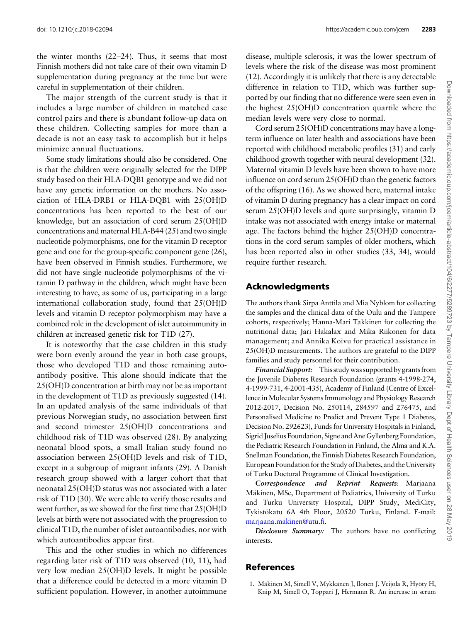<span id="page-6-0"></span>doi: [10.1210/jc.2018-02094](http://dx.doi.org/10.1210/jc.2018-02094) <https://academic.oup.com/jcem> 2283

the winter months [\(22](#page-7-0)–[24\)](#page-7-0). Thus, it seems that most Finnish mothers did not take care of their own vitamin D supplementation during pregnancy at the time but were careful in supplementation of their children.

The major strength of the current study is that it includes a large number of children in matched case control pairs and there is abundant follow-up data on these children. Collecting samples for more than a decade is not an easy task to accomplish but it helps minimize annual fluctuations.

Some study limitations should also be considered. One is that the children were originally selected for the DIPP study based on their HLA-DQB1 genotype and we did not have any genetic information on the mothers. No association of HLA-DRB1 or HLA-DQB1 with 25(OH)D concentrations has been reported to the best of our knowledge, but an association of cord serum 25(OH)D concentrations and maternal HLA-B44 ([25\)](#page-7-0) and two single nucleotide polymorphisms, one for the vitamin D receptor gene and one for the group-specific component gene ([26\)](#page-7-0), have been observed in Finnish studies. Furthermore, we did not have single nucleotide polymorphisms of the vitamin D pathway in the children, which might have been interesting to have, as some of us, participating in a large international collaboration study, found that 25(OH)D levels and vitamin D receptor polymorphism may have a combined role in the development of islet autoimmunity in children at increased genetic risk for T1D [\(27\)](#page-7-0).

It is noteworthy that the case children in this study were born evenly around the year in both case groups, those who developed T1D and those remaining autoantibody positive. This alone should indicate that the 25(OH)D concentration at birth may not be as important in the development of T1D as previously suggested [\(14](#page-7-0)). In an updated analysis of the same individuals of that previous Norwegian study, no association between first and second trimester 25(OH)D concentrations and childhood risk of T1D was observed [\(28](#page-7-0)). By analyzing neonatal blood spots, a small Italian study found no association between 25(OH)D levels and risk of T1D, except in a subgroup of migrant infants ([29\)](#page-7-0). A Danish research group showed with a larger cohort that that neonatal 25(OH)D status was not associated with a later risk of T1D [\(30](#page-7-0)). We were able to verify those results and went further, as we showed for the first time that 25(OH)D levels at birth were not associated with the progression to clinical T1D, the number of islet autoantibodies, nor with which autoantibodies appear first.

This and the other studies in which no differences regarding later risk of T1D was observed ([10, 11](#page-7-0)), had very low median 25(OH)D levels. It might be possible that a difference could be detected in a more vitamin D sufficient population. However, in another autoimmune

disease, multiple sclerosis, it was the lower spectrum of levels where the risk of the disease was most prominent ([12\)](#page-7-0). Accordingly it is unlikely that there is any detectable difference in relation to T1D, which was further supported by our finding that no difference were seen even in the highest 25(OH)D concentration quartile where the median levels were very close to normal.

Cord serum 25(OH)D concentrations may have a longterm influence on later health and associations have been reported with childhood metabolic profiles [\(31\)](#page-7-0) and early childhood growth together with neural development ([32\)](#page-8-0). Maternal vitamin D levels have been shown to have more influence on cord serum 25(OH)D than the genetic factors of the offspring [\(16\)](#page-7-0). As we showed here, maternal intake of vitamin D during pregnancy has a clear impact on cord serum 25(OH)D levels and quite surprisingly, vitamin D intake was not associated with energy intake or maternal age. The factors behind the higher 25(OH)D concentrations in the cord serum samples of older mothers, which has been reported also in other studies [\(33, 34](#page-8-0)), would require further research.

# Acknowledgments

The authors thank Sirpa Anttila and Mia Nyblom for collecting the samples and the clinical data of the Oulu and the Tampere cohorts, respectively; Hanna-Mari Takkinen for collecting the nutritional data; Jari Hakalax and Mika Riikonen for data management; and Annika Koivu for practical assistance in 25(OH)D measurements. The authors are grateful to the DIPP families and study personnel for their contribution.

Financial Support: This study was supported by grants from the Juvenile Diabetes Research Foundation (grants 4-1998-274, 4-1999-731, 4-2001-435), Academy of Finland (Centre of Excellence in Molecular Systems Immunology and Physiology Research 2012-2017, Decision No. 250114, 284597 and 276475, and Personalised Medicine to Predict and Prevent Type 1 Diabetes, Decision No. 292623), Funds for University Hospitals in Finland, Sigrid Juselius Foundation, Signe and Ane Gyllenberg Foundation, the Pediatric Research Foundation in Finland, the Alma and K.A. Snellman Foundation, the Finnish Diabetes Research Foundation, European Foundation for the Study of Diabetes, and the University of Turku Doctoral Programme of Clinical Investigation.

Correspondence and Reprint Requests: Marjaana Mäkinen, MSc, Department of Pediatrics, University of Turku and Turku University Hospital, DIPP Study, MediCity, Tykistökatu 6A 4th Floor, 20520 Turku, Finland. E-mail: [marjaana.makinen@utu.fi.](mailto:marjaana.makinen@utu.fi)

Disclosure Summary: The authors have no conflicting interests.

# References

1. Mäkinen M, Simell V, Mykkänen J, Ilonen J, Veijola R, Hyöty H, Knip M, Simell O, Toppari J, Hermann R. An increase in serum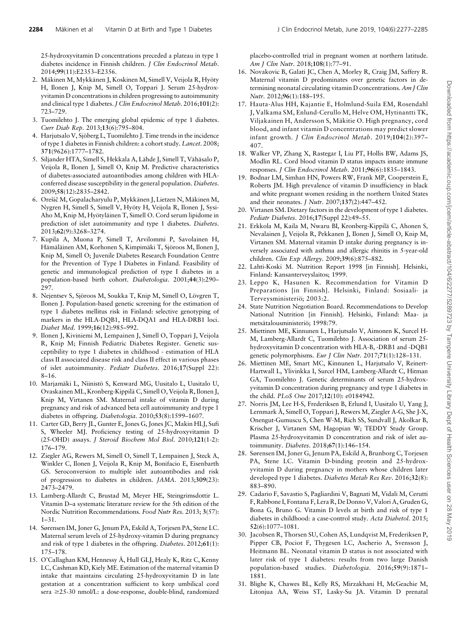<span id="page-7-0"></span>25-hydroxyvitamin D concentrations preceded a plateau in type 1 diabetes incidence in Finnish children. J Clin Endocrinol Metab. 2014;99(11):E2353–E2356.

- 2. Mäkinen M, Mykkänen J, Koskinen M, Simell V, Veijola R, Hyöty H, Ilonen J, Knip M, Simell O, Toppari J. Serum 25-hydroxyvitamin D concentrations in children progressing to autoimmunity and clinical type 1 diabetes. J Clin Endocrinol Metab. 2016;101(2): 723–729.
- 3. Tuomilehto J. The emerging global epidemic of type 1 diabetes. Curr Diab Rep. 2013;13(6):795–804.
- 4. Harjutsalo V, Sjöberg L, Tuomilehto J. Time trends in the incidence of type 1 diabetes in Finnish children: a cohort study. Lancet. 2008; 371(9626):1777–1782.
- 5. Siljander HTA, Simell S, Hekkala A, Lähde J, Simell T, Vähäsalo P, Veijola R, Ilonen J, Simell O, Knip M. Predictive characteristics of diabetes-associated autoantibodies among children with HLAconferred disease susceptibility in the general population. Diabetes. 2009;58(12):2835–2842.
- 6. Orešič M, Gopalacharyulu P, Mykkänen J, Lietzen N, Mäkinen M, Nygren H, Simell S, Simell V, Hyöty H, Veijola R, Ilonen J, Sysi-Aho M, Knip M, Hyötyläinen T, Simell O. Cord serum lipidome in prediction of islet autoimmunity and type 1 diabetes. Diabetes. 2013;62(9):3268–3274.
- 7. Kupila A, Muona P, Simell T, Arvilommi P, Savolainen H, Hämäläinen AM, Korhonen S, Kimpimäki T, Sjöroos M, Ilonen J, Knip M, Simell O; Juvenile Diabetes Research Foundation Centre for the Prevention of Type I Diabetes in Finland. Feasibility of genetic and immunological prediction of type I diabetes in a population-based birth cohort. Diabetologia. 2001;44(3):290– 297.
- 8. Nejentsev S, Sjöroos M, Soukka T, Knip M, Simell O, Lövgren T, Ilonen J. Population-based genetic screening for the estimation of type 1 diabetes mellitus risk in Finland: selective genotyping of markers in the HLA-DQB1, HLA-DQA1 and HLA-DRB1 loci. Diabet Med. 1999;16(12):985–992.
- 9. Ilonen J, Kiviniemi M, Lempainen J, Simell O, Toppari J, Veijola R, Knip M; Finnish Pediatric Diabetes Register. Genetic susceptibility to type 1 diabetes in childhood - estimation of HLA class II associated disease risk and class II effect in various phases of islet autoimmunity. Pediatr Diabetes. 2016;17(Suppl 22): 8–16.
- 10. Marjamäki L, Niinistö S, Kenward MG, Uusitalo L, Uusitalo U, Ovaskainen ML, Kronberg-Kippilä C, Simell O, Veijola R, Ilonen J, Knip M, Virtanen SM. Maternal intake of vitamin D during pregnancy and risk of advanced beta cell autoimmunity and type 1 diabetes in offspring. Diabetologia. 2010;53(8):1599–1607.
- 11. Carter GD, Berry JL, Gunter E, Jones G, Jones JC, Makin HLJ, Sufi S, Wheeler MJ. Proficiency testing of 25-hydroxyvitamin D (25-OHD) assays. J Steroid Biochem Mol Biol. 2010;121(1-2): 176–179.
- 12. Ziegler AG, Rewers M, Simell O, Simell T, Lempainen J, Steck A, Winkler C, Ilonen J, Veijola R, Knip M, Bonifacio E, Eisenbarth GS. Seroconversion to multiple islet autoantibodies and risk of progression to diabetes in children. JAMA. 2013;309(23): 2473–2479.
- 13. Lamberg-Allardt C, Brustad M, Meyer HE, Steingrimsdottir L. Vitamin D–a systematic literature review for the 5th edition of the Nordic Nutrition Recommendations. Food Nutr Res. 2013; 3(57): 1–31.
- 14. Sørensen IM, Joner G, Jenum PA, Eskild A, Torjesen PA, Stene LC. Maternal serum levels of 25-hydroxy-vitamin D during pregnancy and risk of type 1 diabetes in the offspring. Diabetes. 2012;61(1): 175–178.
- 15. O'Callaghan KM, Hennessy A, Hull GLJ, Healy K, Ritz C, Kenny ´ LC, Cashman KD, Kiely ME. Estimation of the maternal vitamin D intake that maintains circulating 25-hydroxyvitamin D in late gestation at a concentration sufficient to keep umbilical cord sera ≥25-30 nmol/L: a dose-response, double-blind, randomized

placebo-controlled trial in pregnant women at northern latitude. Am J Clin Nutr. 2018;108(1):77–91.

- 16. Novakovic B, Galati JC, Chen A, Morley R, Craig JM, Saffery R. Maternal vitamin D predominates over genetic factors in determining neonatal circulating vitamin D concentrations. Am J Clin Nutr. 2012;96(1):188–195.
- 17. Hauta-Alus HH, Kajantie E, Holmlund-Suila EM, Rosendahl J, Valkama SM, Enlund-Cerullo M, Helve OM, Hytinantti TK, Viljakainen H, Andersson S, Mäkitie O. High pregnancy, cord blood, and infant vitamin D concentrations may predict slower infant growth. J Clin Endocrinol Metab. 2019;104(2):397– 407.
- 18. Walker VP, Zhang X, Rastegar I, Liu PT, Hollis BW, Adams JS, Modlin RL. Cord blood vitamin D status impacts innate immune responses. J Clin Endocrinol Metab. 2011;96(6):1835–1843.
- 19. Bodnar LM, Simhan HN, Powers RW, Frank MP, Cooperstein E, Roberts JM. High prevalence of vitamin D insufficiency in black and white pregnant women residing in the northern United States and their neonates. J Nutr. 2007;137(2):447–452.
- 20. Virtanen SM. Dietary factors in the development of type 1 diabetes. Pediatr Diabetes. 2016;17(Suppl 22):49–55.
- 21. Erkkola M, Kaila M, Nwaru BI, Kronberg-Kippilä C, Ahonen S, Nevalainen J, Veijola R, Pekkanen J, Ilonen J, Simell O, Knip M, Virtanen SM. Maternal vitamin D intake during pregnancy is inversely associated with asthma and allergic rhinitis in 5-year-old children. Clin Exp Allergy. 2009;39(6):875–882.
- 22. Lahti-Koski M. Nutrition Report 1998 [in Finnish]. Helsinki, Finland: Kansanterveyslaitos; 1999.
- 23. Leppo K, Hasunen K. Recommendation for Vitamin D Preparations [in Finnish]. Helsinki, Finland: Sosiaali- ja Terveysministeriö; 2003:2.
- 24. State Nutrition Negotiation Board. Recommendations to Develop National Nutrition [in Finnish]. Helsinki, Finland: Maa- ja metsätalousministeriö; 1998:79.
- 25. Miettinen ME, Kinnunen L, Harjutsalo V, Aimonen K, Surcel H-M, Lamberg-Allardt C, Tuomilehto J. Association of serum 25 hydroxyvitamin D concentration with HLA-B, -DRB1 and -DQB1 genetic polymorphisms. Eur J Clin Nutr. 2017;71(1):128–131.
- 26. Miettinen ME, Smart MC, Kinnunen L, Harjutsalo V, Reinert-Hartwall L, Ylivinkka I, Surcel HM, Lamberg-Allardt C, Hitman GA, Tuomilehto J. Genetic determinants of serum 25-hydroxyvitamin D concentration during pregnancy and type 1 diabetes in the child. PLoS One 2017;12(10): e0184942.
- 27. Norris JM, Lee H-S, Frederiksen B, Erlund I, Uusitalo U, Yang J, Lernmark Å, Simell O, Toppari J, Rewers M, Ziegler A-G, She J-X, Onengut-Gumuscu S, Chen W-M, Rich SS, Sundvall J, Akolkar B, Krischer J, Virtanen SM, Hagopian W; TEDDY Study Group. Plasma 25-hydroxyvitamin D concentration and risk of islet autoimmunity. Diabetes. 2018;67(1):146–154.
- 28. Sørensen IM, Joner G, Jenum PA, Eskild A, Brunborg C, Torjesen PA, Stene LC. Vitamin D-binding protein and 25-hydroxyvitamin D during pregnancy in mothers whose children later developed type 1 diabetes. Diabetes Metab Res Rev. 2016;32(8): 883–890.
- 29. Cadario F, Savastio S, Pagliardini V, Bagnati M, Vidali M, Cerutti F, Rabbone I, Fontana F, Lera R, De Donno V, Valori A, Gruden G, Bona G, Bruno G. Vitamin D levels at birth and risk of type 1 diabetes in childhood: a case-control study. Acta Diabetol. 2015; 52(6):1077–1081.
- 30. Jacobsen R, Thorsen SU, Cohen AS, Lundqvist M, Frederiksen P, Pipper CB, Pociot F, Thygesen LC, Ascherio A, Svensson J, Heitmann BL. Neonatal vitamin D status is not associated with later risk of type 1 diabetes: results from two large Danish population-based studies. Diabetologia. 2016;59(9):1871– 1881.
- 31. Blighe K, Chawes BL, Kelly RS, Mirzakhani H, McGeachie M, Litonjua AA, Weiss ST, Lasky-Su JA. Vitamin D prenatal